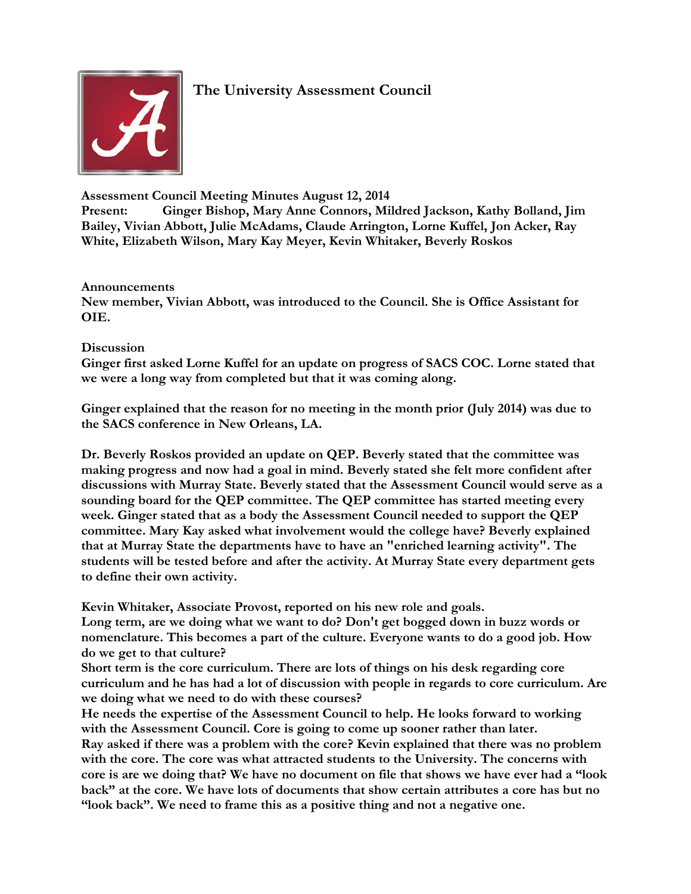

# **The University Assessment Council**

**Assessment Council Meeting Minutes August 12, 2014**

**Present: Ginger Bishop, Mary Anne Connors, Mildred Jackson, Kathy Bolland, Jim Bailey, Vivian Abbott, Julie McAdams, Claude Arrington, Lorne Kuffel, Jon Acker, Ray White, Elizabeth Wilson, Mary Kay Meyer, Kevin Whitaker, Beverly Roskos**

## **Announcements**

**New member, Vivian Abbott, was introduced to the Council. She is Office Assistant for OIE.** 

## **Discussion**

**Ginger first asked Lorne Kuffel for an update on progress of SACS COC. Lorne stated that we were a long way from completed but that it was coming along.**

**Ginger explained that the reason for no meeting in the month prior (July 2014) was due to the SACS conference in New Orleans, LA.**

**Dr. Beverly Roskos provided an update on QEP. Beverly stated that the committee was making progress and now had a goal in mind. Beverly stated she felt more confident after discussions with Murray State. Beverly stated that the Assessment Council would serve as a sounding board for the QEP committee. The QEP committee has started meeting every week. Ginger stated that as a body the Assessment Council needed to support the QEP committee. Mary Kay asked what involvement would the college have? Beverly explained that at Murray State the departments have to have an "enriched learning activity". The students will be tested before and after the activity. At Murray State every department gets to define their own activity.**

**Kevin Whitaker, Associate Provost, reported on his new role and goals.**

**Long term, are we doing what we want to do? Don't get bogged down in buzz words or nomenclature. This becomes a part of the culture. Everyone wants to do a good job. How do we get to that culture?**

**Short term is the core curriculum. There are lots of things on his desk regarding core curriculum and he has had a lot of discussion with people in regards to core curriculum. Are we doing what we need to do with these courses?**

**He needs the expertise of the Assessment Council to help. He looks forward to working with the Assessment Council. Core is going to come up sooner rather than later. Ray asked if there was a problem with the core? Kevin explained that there was no problem with the core. The core was what attracted students to the University. The concerns with core is are we doing that? We have no document on file that shows we have ever had a "look back" at the core. We have lots of documents that show certain attributes a core has but no "look back". We need to frame this as a positive thing and not a negative one.**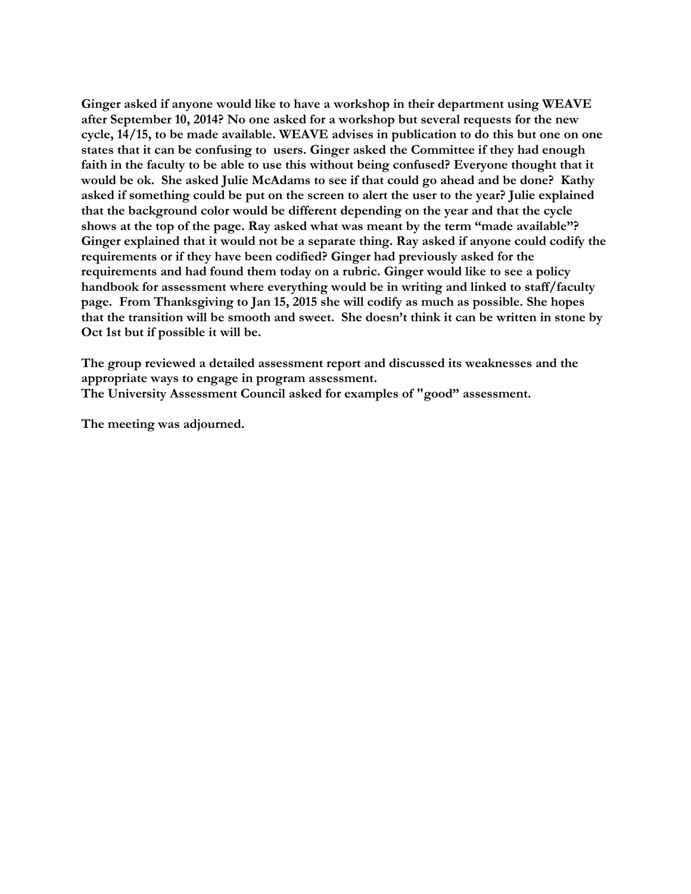**Ginger asked if anyone would like to have a workshop in their department using WEAVE after September 10, 2014? No one asked for a workshop but several requests for the new cycle, 14/15, to be made available. WEAVE advises in publication to do this but one on one states that it can be confusing to users. Ginger asked the Committee if they had enough faith in the faculty to be able to use this without being confused? Everyone thought that it would be ok. She asked Julie McAdams to see if that could go ahead and be done? Kathy asked if something could be put on the screen to alert the user to the year? Julie explained that the background color would be different depending on the year and that the cycle shows at the top of the page. Ray asked what was meant by the term "made available"? Ginger explained that it would not be a separate thing. Ray asked if anyone could codify the requirements or if they have been codified? Ginger had previously asked for the requirements and had found them today on a rubric. Ginger would like to see a policy handbook for assessment where everything would be in writing and linked to staff/faculty page. From Thanksgiving to Jan 15, 2015 she will codify as much as possible. She hopes that the transition will be smooth and sweet. She doesn't think it can be written in stone by Oct 1st but if possible it will be.**

**The group reviewed a detailed assessment report and discussed its weaknesses and the appropriate ways to engage in program assessment. The University Assessment Council asked for examples of "good" assessment.** 

**The meeting was adjourned.**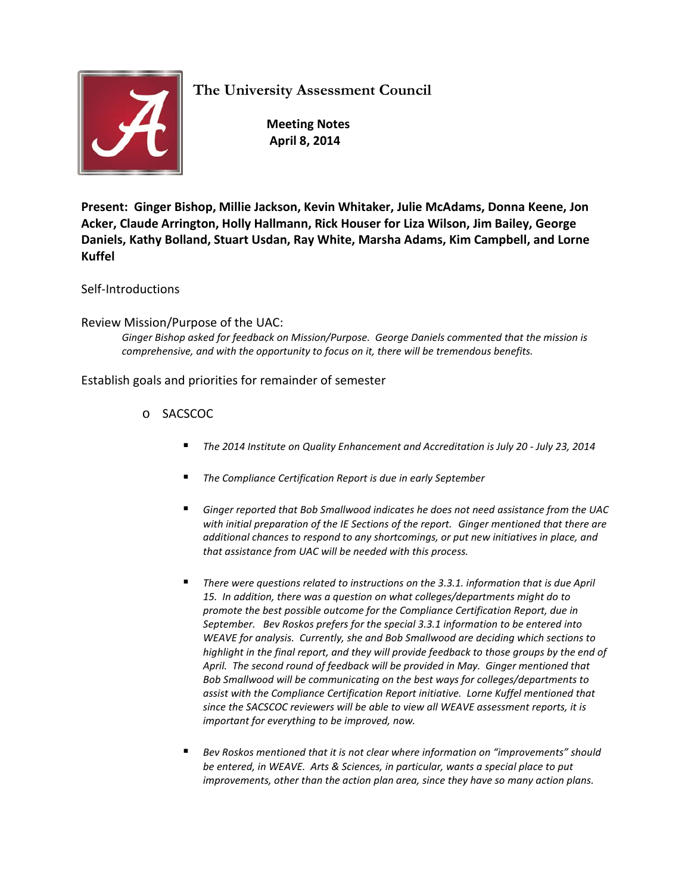**The University Assessment Council**



 **Meeting Notes April 8, 2014**

**Present: Ginger Bishop, Millie Jackson, Kevin Whitaker, Julie McAdams, Donna Keene, Jon Acker, Claude Arrington, Holly Hallmann, Rick Houser for Liza Wilson, Jim Bailey, George Daniels, Kathy Bolland, Stuart Usdan, Ray White, Marsha Adams, Kim Campbell, and Lorne Kuffel**

Self-Introductions

Review Mission/Purpose of the UAC:

*Ginger Bishop asked for feedback on Mission/Purpose. George Daniels commented that the mission is comprehensive, and with the opportunity to focus on it, there will be tremendous benefits.*

Establish goals and priorities for remainder of semester

- o SACSCOC
	- *The 2014 Institute on Quality Enhancement and Accreditation is July 20 - July 23, 2014*
	- *The Compliance Certification Report is due in early September*
	- *Ginger reported that Bob Smallwood indicates he does not need assistance from the UAC with initial preparation of the IE Sections of the report. Ginger mentioned that there are additional chances to respond to any shortcomings, or put new initiatives in place, and that assistance from UAC will be needed with this process.*
	- *There were questions related to instructions on the 3.3.1. information that is due April 15. In addition, there was a question on what colleges/departments might do to promote the best possible outcome for the Compliance Certification Report, due in September. Bev Roskos prefers for the special 3.3.1 information to be entered into WEAVE for analysis. Currently, she and Bob Smallwood are deciding which sections to highlight in the final report, and they will provide feedback to those groups by the end of April. The second round of feedback will be provided in May. Ginger mentioned that Bob Smallwood will be communicating on the best ways for colleges/departments to assist with the Compliance Certification Report initiative. Lorne Kuffel mentioned that since the SACSCOC reviewers will be able to view all WEAVE assessment reports, it is important for everything to be improved, now.*
	- *Bev Roskos mentioned that it is not clear where information on "improvements" should be entered, in WEAVE. Arts & Sciences, in particular, wants a special place to put improvements, other than the action plan area, since they have so many action plans.*